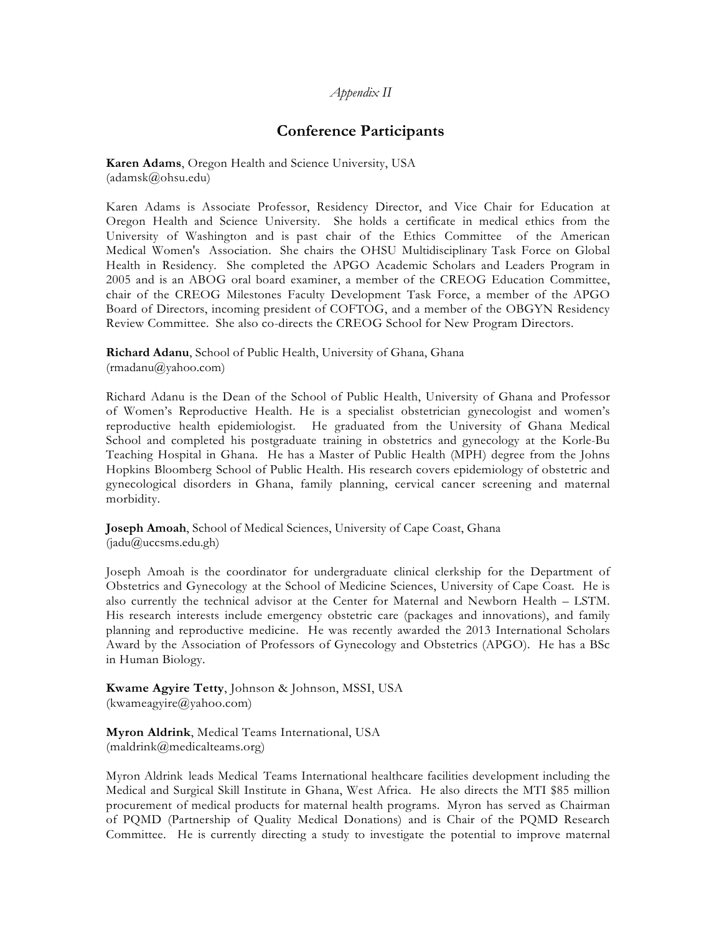## *Appendix II*

# **Conference Participants**

**Karen Adams**, Oregon Health and Science University, USA (adamsk@ohsu.edu)

Karen Adams is Associate Professor, Residency Director, and Vice Chair for Education at Oregon Health and Science University. She holds a certificate in medical ethics from the University of Washington and is past chair of the Ethics Committee of the American Medical Women's Association. She chairs the OHSU Multidisciplinary Task Force on Global Health in Residency. She completed the APGO Academic Scholars and Leaders Program in 2005 and is an ABOG oral board examiner, a member of the CREOG Education Committee, chair of the CREOG Milestones Faculty Development Task Force, a member of the APGO Board of Directors, incoming president of COFTOG, and a member of the OBGYN Residency Review Committee. She also co-directs the CREOG School for New Program Directors.

**Richard Adanu**, School of Public Health, University of Ghana, Ghana  $(rmadanu@yahoo.com)$ 

Richard Adanu is the Dean of the School of Public Health, University of Ghana and Professor of Women's Reproductive Health. He is a specialist obstetrician gynecologist and women's reproductive health epidemiologist. He graduated from the University of Ghana Medical School and completed his postgraduate training in obstetrics and gynecology at the Korle-Bu Teaching Hospital in Ghana. He has a Master of Public Health (MPH) degree from the Johns Hopkins Bloomberg School of Public Health. His research covers epidemiology of obstetric and gynecological disorders in Ghana, family planning, cervical cancer screening and maternal morbidity.

**Joseph Amoah**, School of Medical Sciences, University of Cape Coast, Ghana (jadu@uccsms.edu.gh)

Joseph Amoah is the coordinator for undergraduate clinical clerkship for the Department of Obstetrics and Gynecology at the School of Medicine Sciences, University of Cape Coast. He is also currently the technical advisor at the Center for Maternal and Newborn Health – LSTM. His research interests include emergency obstetric care (packages and innovations), and family planning and reproductive medicine. He was recently awarded the 2013 International Scholars Award by the Association of Professors of Gynecology and Obstetrics (APGO). He has a BSc in Human Biology.

**Kwame Agyire Tetty**, Johnson & Johnson, MSSI, USA (kwameagyire@yahoo.com)

**Myron Aldrink**, Medical Teams International, USA (maldrink@medicalteams.org)

Myron Aldrink leads Medical Teams International healthcare facilities development including the Medical and Surgical Skill Institute in Ghana, West Africa. He also directs the MTI \$85 million procurement of medical products for maternal health programs. Myron has served as Chairman of PQMD (Partnership of Quality Medical Donations) and is Chair of the PQMD Research Committee. He is currently directing a study to investigate the potential to improve maternal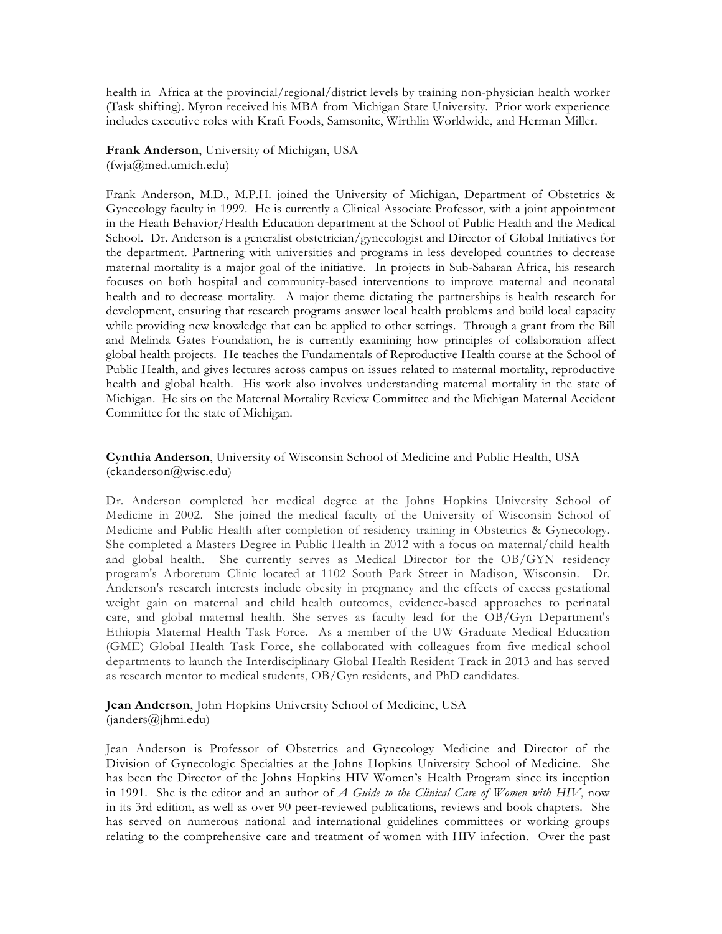health in Africa at the provincial/regional/district levels by training non-physician health worker (Task shifting). Myron received his MBA from Michigan State University. Prior work experience includes executive roles with Kraft Foods, Samsonite, Wirthlin Worldwide, and Herman Miller.

**Frank Anderson**, University of Michigan, USA (fwja@med.umich.edu)

Frank Anderson, M.D., M.P.H. joined the University of Michigan, Department of Obstetrics & Gynecology faculty in 1999. He is currently a Clinical Associate Professor, with a joint appointment in the Heath Behavior/Health Education department at the School of Public Health and the Medical School. Dr. Anderson is a generalist obstetrician/gynecologist and Director of Global Initiatives for the department. Partnering with universities and programs in less developed countries to decrease maternal mortality is a major goal of the initiative. In projects in Sub-Saharan Africa, his research focuses on both hospital and community-based interventions to improve maternal and neonatal health and to decrease mortality. A major theme dictating the partnerships is health research for development, ensuring that research programs answer local health problems and build local capacity while providing new knowledge that can be applied to other settings. Through a grant from the Bill and Melinda Gates Foundation, he is currently examining how principles of collaboration affect global health projects. He teaches the Fundamentals of Reproductive Health course at the School of Public Health, and gives lectures across campus on issues related to maternal mortality, reproductive health and global health. His work also involves understanding maternal mortality in the state of Michigan. He sits on the Maternal Mortality Review Committee and the Michigan Maternal Accident Committee for the state of Michigan.

**Cynthia Anderson**, University of Wisconsin School of Medicine and Public Health, USA (ckanderson@wisc.edu)

Dr. Anderson completed her medical degree at the Johns Hopkins University School of Medicine in 2002. She joined the medical faculty of the University of Wisconsin School of Medicine and Public Health after completion of residency training in Obstetrics & Gynecology. She completed a Masters Degree in Public Health in 2012 with a focus on maternal/child health and global health. She currently serves as Medical Director for the OB/GYN residency program's Arboretum Clinic located at 1102 South Park Street in Madison, Wisconsin. Dr. Anderson's research interests include obesity in pregnancy and the effects of excess gestational weight gain on maternal and child health outcomes, evidence-based approaches to perinatal care, and global maternal health. She serves as faculty lead for the OB/Gyn Department's Ethiopia Maternal Health Task Force. As a member of the UW Graduate Medical Education (GME) Global Health Task Force, she collaborated with colleagues from five medical school departments to launch the Interdisciplinary Global Health Resident Track in 2013 and has served as research mentor to medical students, OB/Gyn residents, and PhD candidates.

**Jean Anderson**, John Hopkins University School of Medicine, USA (janders@jhmi.edu)

Jean Anderson is Professor of Obstetrics and Gynecology Medicine and Director of the Division of Gynecologic Specialties at the Johns Hopkins University School of Medicine. She has been the Director of the Johns Hopkins HIV Women's Health Program since its inception in 1991. She is the editor and an author of *A Guide to the Clinical Care of Women with HIV*, now in its 3rd edition, as well as over 90 peer-reviewed publications, reviews and book chapters. She has served on numerous national and international guidelines committees or working groups relating to the comprehensive care and treatment of women with HIV infection. Over the past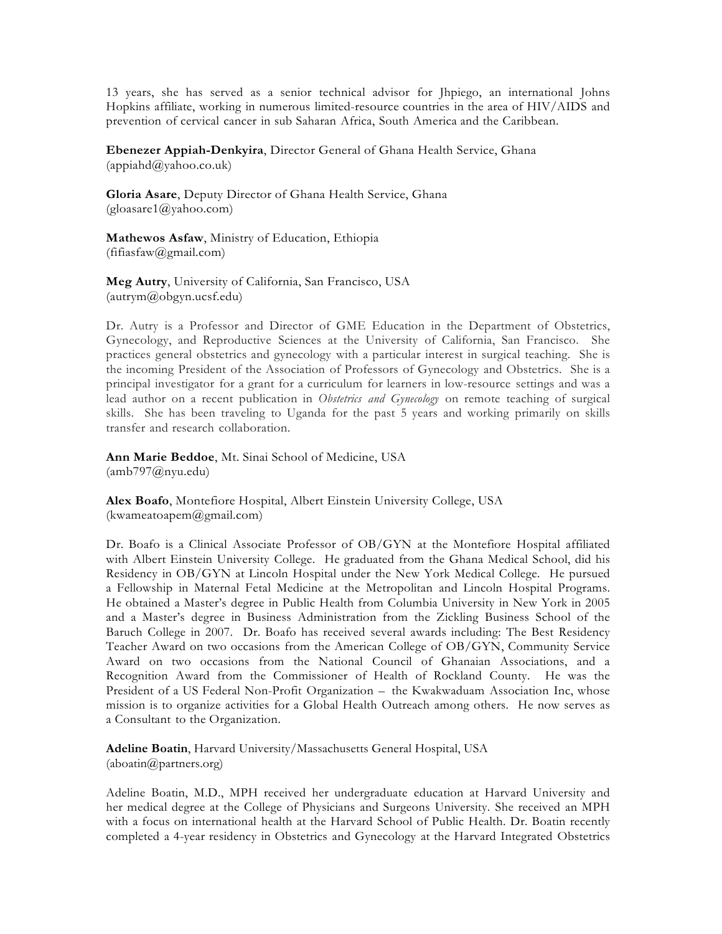13 years, she has served as a senior technical advisor for Jhpiego, an international Johns Hopkins affiliate, working in numerous limited-resource countries in the area of HIV/AIDS and prevention of cervical cancer in sub Saharan Africa, South America and the Caribbean.

**Ebenezer Appiah-Denkyira**, Director General of Ghana Health Service, Ghana  $(appiahd@yahoo.co.uk)$ 

**Gloria Asare**, Deputy Director of Ghana Health Service, Ghana  $(gloasare1@yahoo.com)$ 

**Mathewos Asfaw**, Ministry of Education, Ethiopia (fifiasfaw@gmail.com)

**Meg Autry**, University of California, San Francisco, USA (autrym@obgyn.ucsf.edu)

Dr. Autry is a Professor and Director of GME Education in the Department of Obstetrics, Gynecology, and Reproductive Sciences at the University of California, San Francisco. She practices general obstetrics and gynecology with a particular interest in surgical teaching. She is the incoming President of the Association of Professors of Gynecology and Obstetrics. She is a principal investigator for a grant for a curriculum for learners in low-resource settings and was a lead author on a recent publication in *Obstetrics and Gynecology* on remote teaching of surgical skills. She has been traveling to Uganda for the past 5 years and working primarily on skills transfer and research collaboration.

**Ann Marie Beddoe**, Mt. Sinai School of Medicine, USA (amb797@nyu.edu)

**Alex Boafo**, Montefiore Hospital, Albert Einstein University College, USA (kwameatoapem@gmail.com)

Dr. Boafo is a Clinical Associate Professor of OB/GYN at the Montefiore Hospital affiliated with Albert Einstein University College. He graduated from the Ghana Medical School, did his Residency in OB/GYN at Lincoln Hospital under the New York Medical College. He pursued a Fellowship in Maternal Fetal Medicine at the Metropolitan and Lincoln Hospital Programs. He obtained a Master's degree in Public Health from Columbia University in New York in 2005 and a Master's degree in Business Administration from the Zickling Business School of the Baruch College in 2007. Dr. Boafo has received several awards including: The Best Residency Teacher Award on two occasions from the American College of OB/GYN, Community Service Award on two occasions from the National Council of Ghanaian Associations, and a Recognition Award from the Commissioner of Health of Rockland County. He was the President of a US Federal Non-Profit Organization – the Kwakwaduam Association Inc, whose mission is to organize activities for a Global Health Outreach among others. He now serves as a Consultant to the Organization.

**Adeline Boatin**, Harvard University/Massachusetts General Hospital, USA (aboatin@partners.org)

Adeline Boatin, M.D., MPH received her undergraduate education at Harvard University and her medical degree at the College of Physicians and Surgeons University. She received an MPH with a focus on international health at the Harvard School of Public Health. Dr. Boatin recently completed a 4-year residency in Obstetrics and Gynecology at the Harvard Integrated Obstetrics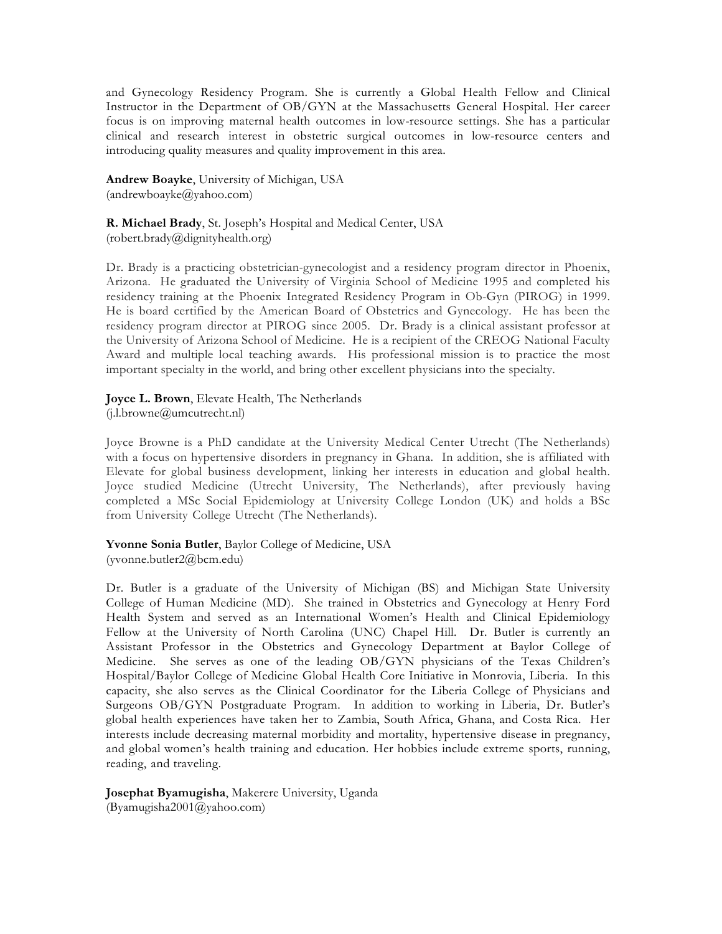and Gynecology Residency Program. She is currently a Global Health Fellow and Clinical Instructor in the Department of OB/GYN at the Massachusetts General Hospital. Her career focus is on improving maternal health outcomes in low-resource settings. She has a particular clinical and research interest in obstetric surgical outcomes in low-resource centers and introducing quality measures and quality improvement in this area.

**Andrew Boayke**, University of Michigan, USA (andrewboayke@yahoo.com)

**R. Michael Brady**, St. Joseph's Hospital and Medical Center, USA (robert.brady@dignityhealth.org)

Dr. Brady is a practicing obstetrician-gynecologist and a residency program director in Phoenix, Arizona. He graduated the University of Virginia School of Medicine 1995 and completed his residency training at the Phoenix Integrated Residency Program in Ob-Gyn (PIROG) in 1999. He is board certified by the American Board of Obstetrics and Gynecology. He has been the residency program director at PIROG since 2005. Dr. Brady is a clinical assistant professor at the University of Arizona School of Medicine. He is a recipient of the CREOG National Faculty Award and multiple local teaching awards. His professional mission is to practice the most important specialty in the world, and bring other excellent physicians into the specialty.

**Joyce L. Brown**, Elevate Health, The Netherlands (j.l.browne@umcutrecht.nl)

Joyce Browne is a PhD candidate at the University Medical Center Utrecht (The Netherlands) with a focus on hypertensive disorders in pregnancy in Ghana. In addition, she is affiliated with Elevate for global business development, linking her interests in education and global health. Joyce studied Medicine (Utrecht University, The Netherlands), after previously having completed a MSc Social Epidemiology at University College London (UK) and holds a BSc from University College Utrecht (The Netherlands).

**Yvonne Sonia Butler**, Baylor College of Medicine, USA (yvonne.butler2@bcm.edu)

Dr. Butler is a graduate of the University of Michigan (BS) and Michigan State University College of Human Medicine (MD). She trained in Obstetrics and Gynecology at Henry Ford Health System and served as an International Women's Health and Clinical Epidemiology Fellow at the University of North Carolina (UNC) Chapel Hill. Dr. Butler is currently an Assistant Professor in the Obstetrics and Gynecology Department at Baylor College of Medicine. She serves as one of the leading OB/GYN physicians of the Texas Children's Hospital/Baylor College of Medicine Global Health Core Initiative in Monrovia, Liberia. In this capacity, she also serves as the Clinical Coordinator for the Liberia College of Physicians and Surgeons OB/GYN Postgraduate Program. In addition to working in Liberia, Dr. Butler's global health experiences have taken her to Zambia, South Africa, Ghana, and Costa Rica. Her interests include decreasing maternal morbidity and mortality, hypertensive disease in pregnancy, and global women's health training and education. Her hobbies include extreme sports, running, reading, and traveling.

**Josephat Byamugisha**, Makerere University, Uganda (Byamugisha2001@yahoo.com)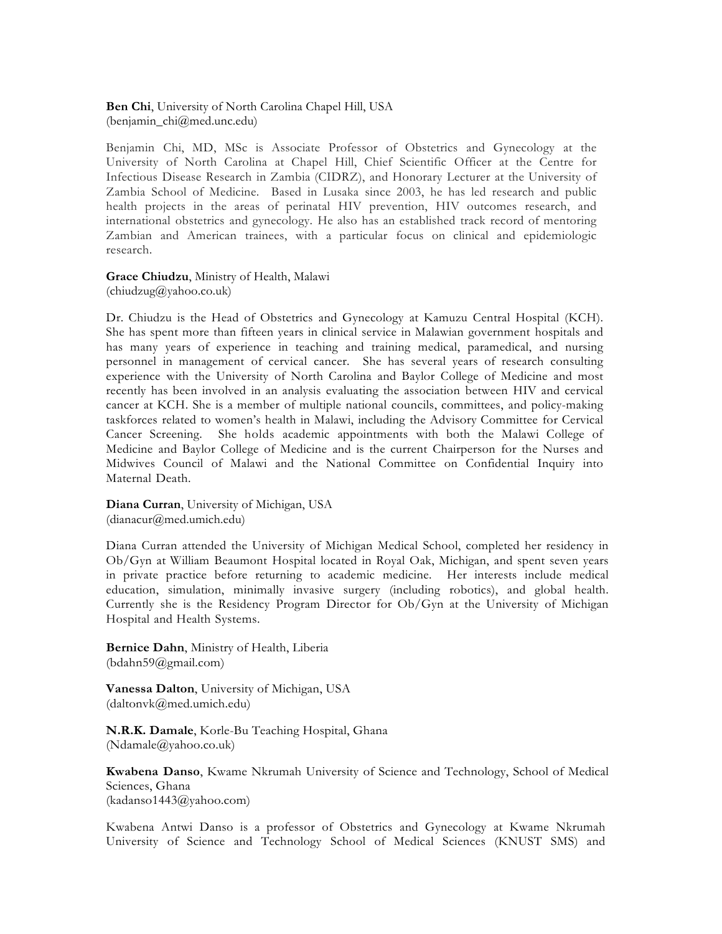**Ben Chi**, University of North Carolina Chapel Hill, USA (benjamin\_chi@med.unc.edu)

Benjamin Chi, MD, MSc is Associate Professor of Obstetrics and Gynecology at the University of North Carolina at Chapel Hill, Chief Scientific Officer at the Centre for Infectious Disease Research in Zambia (CIDRZ), and Honorary Lecturer at the University of Zambia School of Medicine. Based in Lusaka since 2003, he has led research and public health projects in the areas of perinatal HIV prevention, HIV outcomes research, and international obstetrics and gynecology. He also has an established track record of mentoring Zambian and American trainees, with a particular focus on clinical and epidemiologic research.

**Grace Chiudzu**, Ministry of Health, Malawi  $(\text{chindzug@yahoo.co.uk})$ 

Dr. Chiudzu is the Head of Obstetrics and Gynecology at Kamuzu Central Hospital (KCH). She has spent more than fifteen years in clinical service in Malawian government hospitals and has many years of experience in teaching and training medical, paramedical, and nursing personnel in management of cervical cancer. She has several years of research consulting experience with the University of North Carolina and Baylor College of Medicine and most recently has been involved in an analysis evaluating the association between HIV and cervical cancer at KCH. She is a member of multiple national councils, committees, and policy-making taskforces related to women's health in Malawi, including the Advisory Committee for Cervical Cancer Screening. She holds academic appointments with both the Malawi College of Medicine and Baylor College of Medicine and is the current Chairperson for the Nurses and Midwives Council of Malawi and the National Committee on Confidential Inquiry into Maternal Death.

**Diana Curran**, University of Michigan, USA (dianacur@med.umich.edu)

Diana Curran attended the University of Michigan Medical School, completed her residency in Ob/Gyn at William Beaumont Hospital located in Royal Oak, Michigan, and spent seven years in private practice before returning to academic medicine. Her interests include medical education, simulation, minimally invasive surgery (including robotics), and global health. Currently she is the Residency Program Director for Ob/Gyn at the University of Michigan Hospital and Health Systems.

**Bernice Dahn**, Ministry of Health, Liberia (bdahn59@gmail.com)

**Vanessa Dalton**, University of Michigan, USA (daltonvk@med.umich.edu)

**N.R.K. Damale**, Korle-Bu Teaching Hospital, Ghana (Ndamale@yahoo.co.uk)

**Kwabena Danso**, Kwame Nkrumah University of Science and Technology, School of Medical Sciences, Ghana (kadanso1443@yahoo.com)

Kwabena Antwi Danso is a professor of Obstetrics and Gynecology at Kwame Nkrumah University of Science and Technology School of Medical Sciences (KNUST SMS) and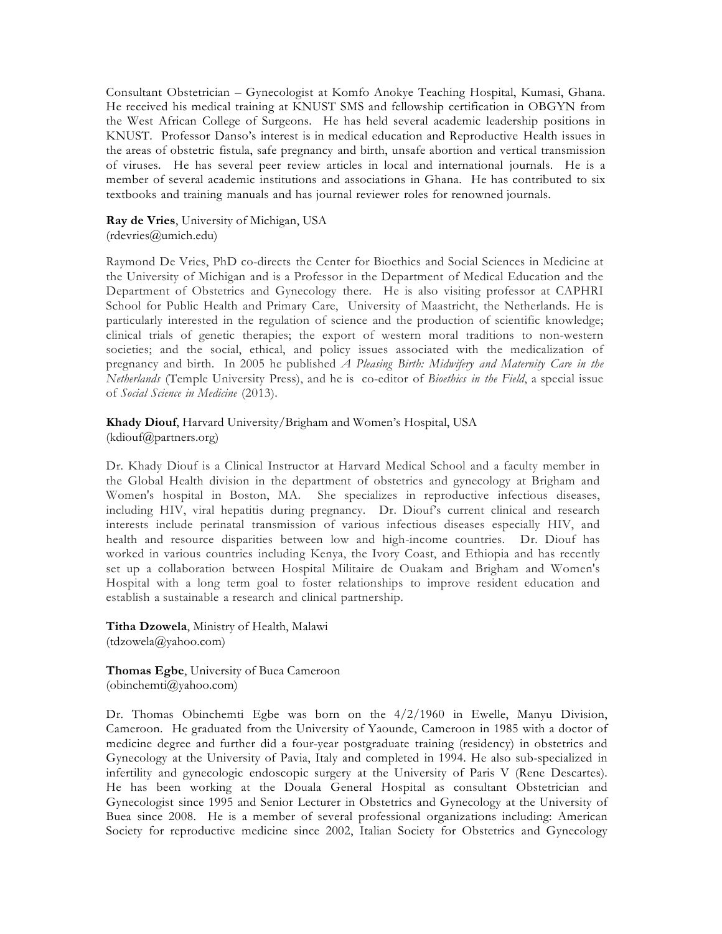Consultant Obstetrician – Gynecologist at Komfo Anokye Teaching Hospital, Kumasi, Ghana. He received his medical training at KNUST SMS and fellowship certification in OBGYN from the West African College of Surgeons. He has held several academic leadership positions in KNUST. Professor Danso's interest is in medical education and Reproductive Health issues in the areas of obstetric fistula, safe pregnancy and birth, unsafe abortion and vertical transmission of viruses. He has several peer review articles in local and international journals. He is a member of several academic institutions and associations in Ghana. He has contributed to six textbooks and training manuals and has journal reviewer roles for renowned journals.

**Ray de Vries**, University of Michigan, USA (rdevries@umich.edu)

Raymond De Vries, PhD co-directs the Center for Bioethics and Social Sciences in Medicine at the University of Michigan and is a Professor in the Department of Medical Education and the Department of Obstetrics and Gynecology there. He is also visiting professor at CAPHRI School for Public Health and Primary Care, University of Maastricht, the Netherlands. He is particularly interested in the regulation of science and the production of scientific knowledge; clinical trials of genetic therapies; the export of western moral traditions to non-western societies; and the social, ethical, and policy issues associated with the medicalization of pregnancy and birth. In 2005 he published *A Pleasing Birth: Midwifery and Maternity Care in the Netherlands* (Temple University Press), and he is co-editor of *Bioethics in the Field*, a special issue of *Social Science in Medicine* (2013).

### **Khady Diouf**, Harvard University/Brigham and Women's Hospital, USA (kdiouf@partners.org)

Dr. Khady Diouf is a Clinical Instructor at Harvard Medical School and a faculty member in the Global Health division in the department of obstetrics and gynecology at Brigham and Women's hospital in Boston, MA. She specializes in reproductive infectious diseases, including HIV, viral hepatitis during pregnancy. Dr. Diouf's current clinical and research interests include perinatal transmission of various infectious diseases especially HIV, and health and resource disparities between low and high-income countries. Dr. Diouf has worked in various countries including Kenya, the Ivory Coast, and Ethiopia and has recently set up a collaboration between Hospital Militaire de Ouakam and Brigham and Women's Hospital with a long term goal to foster relationships to improve resident education and establish a sustainable a research and clinical partnership.

**Titha Dzowela**, Ministry of Health, Malawi (tdzowela@yahoo.com)

**Thomas Egbe**, University of Buea Cameroon (obinchemti@yahoo.com)

Dr. Thomas Obinchemti Egbe was born on the 4/2/1960 in Ewelle, Manyu Division, Cameroon. He graduated from the University of Yaounde, Cameroon in 1985 with a doctor of medicine degree and further did a four-year postgraduate training (residency) in obstetrics and Gynecology at the University of Pavia, Italy and completed in 1994. He also sub-specialized in infertility and gynecologic endoscopic surgery at the University of Paris V (Rene Descartes). He has been working at the Douala General Hospital as consultant Obstetrician and Gynecologist since 1995 and Senior Lecturer in Obstetrics and Gynecology at the University of Buea since 2008. He is a member of several professional organizations including: American Society for reproductive medicine since 2002, Italian Society for Obstetrics and Gynecology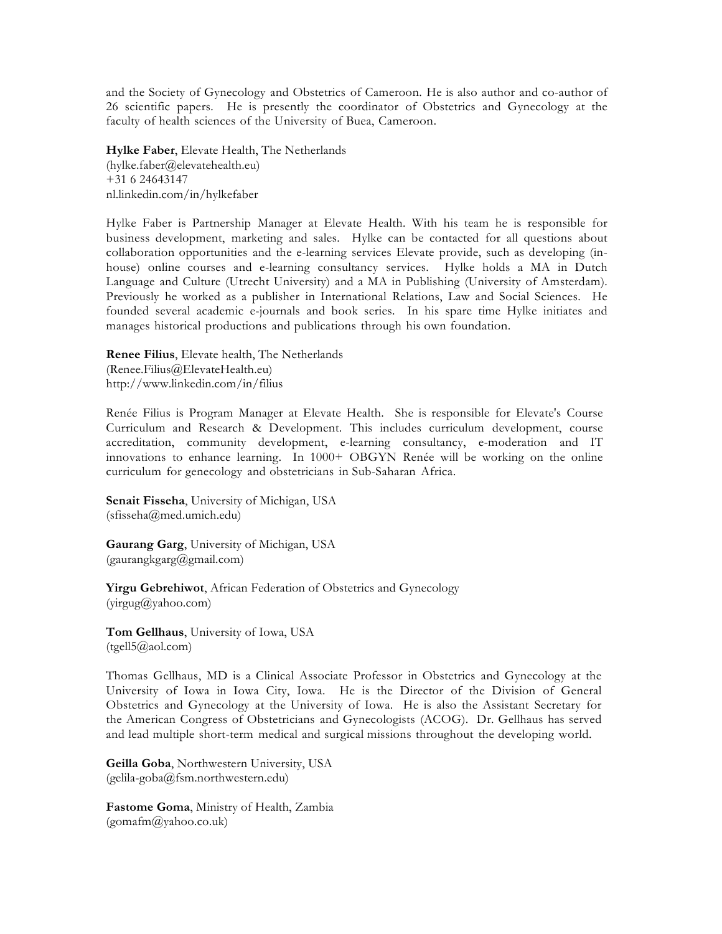and the Society of Gynecology and Obstetrics of Cameroon. He is also author and co-author of 26 scientific papers. He is presently the coordinator of Obstetrics and Gynecology at the faculty of health sciences of the University of Buea, Cameroon.

**Hylke Faber**, Elevate Health, The Netherlands (hylke.faber@elevatehealth.eu) +31 6 24643147 nl.linkedin.com/in/hylkefaber

Hylke Faber is Partnership Manager at Elevate Health. With his team he is responsible for business development, marketing and sales. Hylke can be contacted for all questions about collaboration opportunities and the e-learning services Elevate provide, such as developing (inhouse) online courses and e-learning consultancy services. Hylke holds a MA in Dutch Language and Culture (Utrecht University) and a MA in Publishing (University of Amsterdam). Previously he worked as a publisher in International Relations, Law and Social Sciences. He founded several academic e-journals and book series. In his spare time Hylke initiates and manages historical productions and publications through his own foundation.

**Renee Filius**, Elevate health, The Netherlands (Renee.Filius@ElevateHealth.eu) http://www.linkedin.com/in/filius

Renée Filius is Program Manager at Elevate Health. She is responsible for Elevate's Course Curriculum and Research & Development. This includes curriculum development, course accreditation, community development, e-learning consultancy, e-moderation and IT innovations to enhance learning. In 1000+ OBGYN Renée will be working on the online curriculum for genecology and obstetricians in Sub-Saharan Africa.

**Senait Fisseha**, University of Michigan, USA (sfisseha@med.umich.edu)

**Gaurang Garg**, University of Michigan, USA (gaurangkgarg@gmail.com)

**Yirgu Gebrehiwot**, African Federation of Obstetrics and Gynecology (yirgug@yahoo.com)

**Tom Gellhaus**, University of Iowa, USA  $(tgel15@aol.com)$ 

Thomas Gellhaus, MD is a Clinical Associate Professor in Obstetrics and Gynecology at the University of Iowa in Iowa City, Iowa. He is the Director of the Division of General Obstetrics and Gynecology at the University of Iowa. He is also the Assistant Secretary for the American Congress of Obstetricians and Gynecologists (ACOG). Dr. Gellhaus has served and lead multiple short-term medical and surgical missions throughout the developing world.

**Geilla Goba**, Northwestern University, USA (gelila-goba@fsm.northwestern.edu)

**Fastome Goma**, Ministry of Health, Zambia  $(gomafm@yahoo.co.uk)$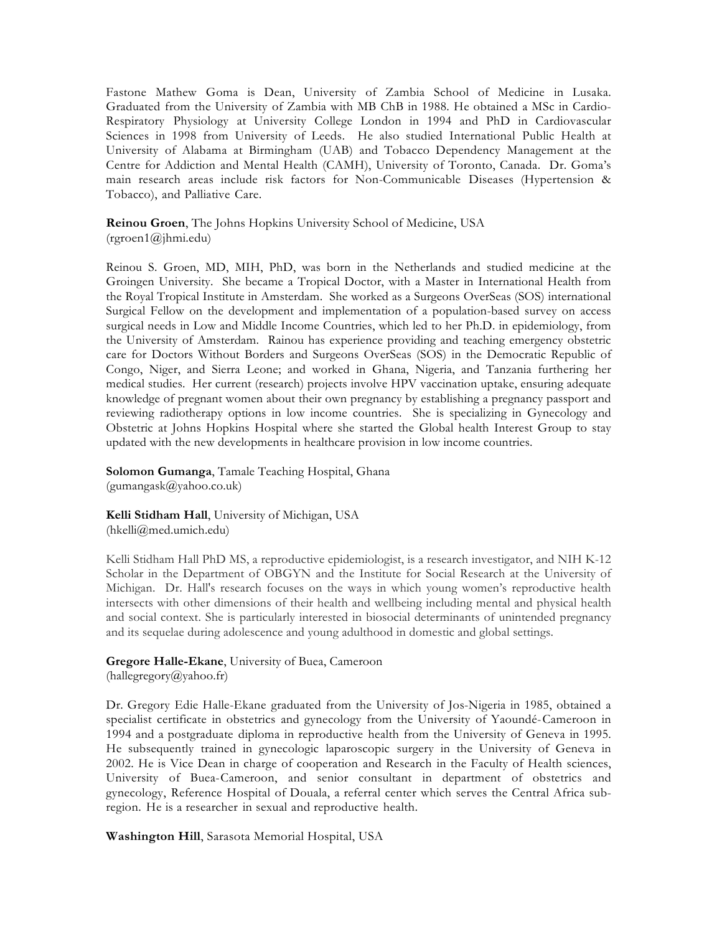Fastone Mathew Goma is Dean, University of Zambia School of Medicine in Lusaka. Graduated from the University of Zambia with MB ChB in 1988. He obtained a MSc in Cardio-Respiratory Physiology at University College London in 1994 and PhD in Cardiovascular Sciences in 1998 from University of Leeds. He also studied International Public Health at University of Alabama at Birmingham (UAB) and Tobacco Dependency Management at the Centre for Addiction and Mental Health (CAMH), University of Toronto, Canada. Dr. Goma's main research areas include risk factors for Non-Communicable Diseases (Hypertension & Tobacco), and Palliative Care.

**Reinou Groen**, The Johns Hopkins University School of Medicine, USA (rgroen1@jhmi.edu)

Reinou S. Groen, MD, MIH, PhD, was born in the Netherlands and studied medicine at the Groingen University. She became a Tropical Doctor, with a Master in International Health from the Royal Tropical Institute in Amsterdam. She worked as a Surgeons OverSeas (SOS) international Surgical Fellow on the development and implementation of a population-based survey on access surgical needs in Low and Middle Income Countries, which led to her Ph.D. in epidemiology, from the University of Amsterdam. Rainou has experience providing and teaching emergency obstetric care for Doctors Without Borders and Surgeons OverSeas (SOS) in the Democratic Republic of Congo, Niger, and Sierra Leone; and worked in Ghana, Nigeria, and Tanzania furthering her medical studies. Her current (research) projects involve HPV vaccination uptake, ensuring adequate knowledge of pregnant women about their own pregnancy by establishing a pregnancy passport and reviewing radiotherapy options in low income countries. She is specializing in Gynecology and Obstetric at Johns Hopkins Hospital where she started the Global health Interest Group to stay updated with the new developments in healthcare provision in low income countries.

**Solomon Gumanga**, Tamale Teaching Hospital, Ghana (gumangask@yahoo.co.uk)

**Kelli Stidham Hall**, University of Michigan, USA (hkelli@med.umich.edu)

Kelli Stidham Hall PhD MS, a reproductive epidemiologist, is a research investigator, and NIH K-12 Scholar in the Department of OBGYN and the Institute for Social Research at the University of Michigan. Dr. Hall's research focuses on the ways in which young women's reproductive health intersects with other dimensions of their health and wellbeing including mental and physical health and social context. She is particularly interested in biosocial determinants of unintended pregnancy and its sequelae during adolescence and young adulthood in domestic and global settings.

# **Gregore Halle-Ekane**, University of Buea, Cameroon

 $(hallegregory@yahoo.fr)$ 

Dr. Gregory Edie Halle-Ekane graduated from the University of Jos-Nigeria in 1985, obtained a specialist certificate in obstetrics and gynecology from the University of Yaoundé-Cameroon in 1994 and a postgraduate diploma in reproductive health from the University of Geneva in 1995. He subsequently trained in gynecologic laparoscopic surgery in the University of Geneva in 2002. He is Vice Dean in charge of cooperation and Research in the Faculty of Health sciences, University of Buea-Cameroon, and senior consultant in department of obstetrics and gynecology, Reference Hospital of Douala, a referral center which serves the Central Africa subregion. He is a researcher in sexual and reproductive health.

**Washington Hill**, Sarasota Memorial Hospital, USA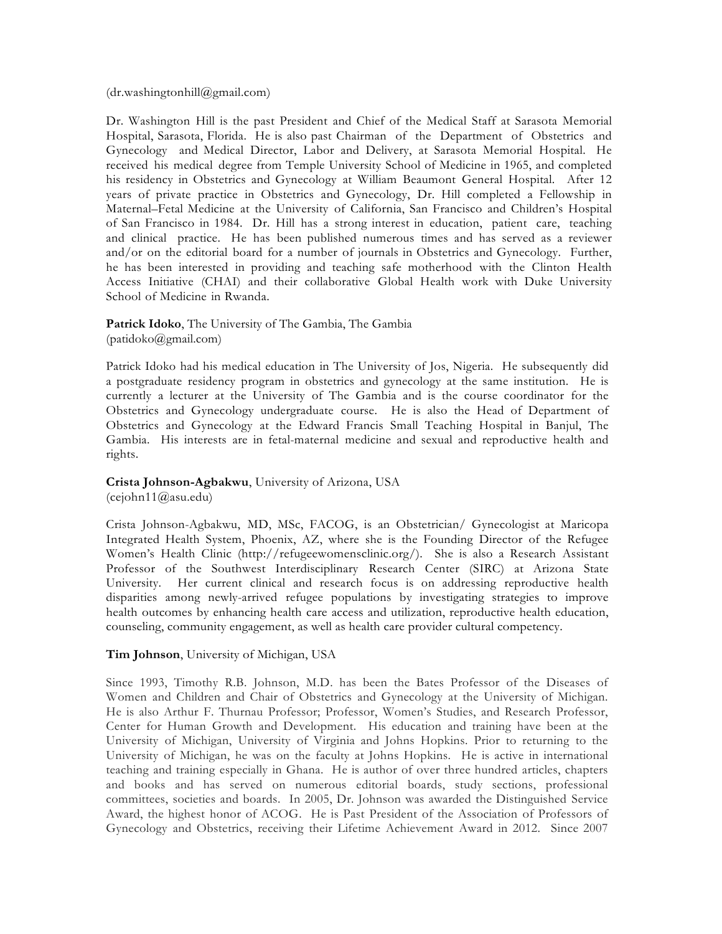$(dr.washingtonhill@gmail.com)$ 

Dr. Washington Hill is the past President and Chief of the Medical Staff at Sarasota Memorial Hospital, Sarasota, Florida. He is also past Chairman of the Department of Obstetrics and Gynecology and Medical Director, Labor and Delivery, at Sarasota Memorial Hospital. He received his medical degree from Temple University School of Medicine in 1965, and completed his residency in Obstetrics and Gynecology at William Beaumont General Hospital. After 12 years of private practice in Obstetrics and Gynecology, Dr. Hill completed a Fellowship in Maternal–Fetal Medicine at the University of California, San Francisco and Children's Hospital of San Francisco in 1984. Dr. Hill has a strong interest in education, patient care, teaching and clinical practice. He has been published numerous times and has served as a reviewer and/or on the editorial board for a number of journals in Obstetrics and Gynecology. Further, he has been interested in providing and teaching safe motherhood with the Clinton Health Access Initiative (CHAI) and their collaborative Global Health work with Duke University School of Medicine in Rwanda.

### **Patrick Idoko**, The University of The Gambia, The Gambia (patidoko@gmail.com)

Patrick Idoko had his medical education in The University of Jos, Nigeria. He subsequently did a postgraduate residency program in obstetrics and gynecology at the same institution. He is currently a lecturer at the University of The Gambia and is the course coordinator for the Obstetrics and Gynecology undergraduate course. He is also the Head of Department of Obstetrics and Gynecology at the Edward Francis Small Teaching Hospital in Banjul, The Gambia. His interests are in fetal-maternal medicine and sexual and reproductive health and rights.

## **Crista Johnson-Agbakwu**, University of Arizona, USA

(cejohn11@asu.edu)

Crista Johnson-Agbakwu, MD, MSc, FACOG, is an Obstetrician/ Gynecologist at Maricopa Integrated Health System, Phoenix, AZ, where she is the Founding Director of the Refugee Women's Health Clinic (http://refugeewomensclinic.org/). She is also a Research Assistant Professor of the Southwest Interdisciplinary Research Center (SIRC) at Arizona State University. Her current clinical and research focus is on addressing reproductive health disparities among newly-arrived refugee populations by investigating strategies to improve health outcomes by enhancing health care access and utilization, reproductive health education, counseling, community engagement, as well as health care provider cultural competency.

### **Tim Johnson**, University of Michigan, USA

Since 1993, Timothy R.B. Johnson, M.D. has been the Bates Professor of the Diseases of Women and Children and Chair of Obstetrics and Gynecology at the University of Michigan. He is also Arthur F. Thurnau Professor; Professor, Women's Studies, and Research Professor, Center for Human Growth and Development. His education and training have been at the University of Michigan, University of Virginia and Johns Hopkins. Prior to returning to the University of Michigan, he was on the faculty at Johns Hopkins. He is active in international teaching and training especially in Ghana. He is author of over three hundred articles, chapters and books and has served on numerous editorial boards, study sections, professional committees, societies and boards. In 2005, Dr. Johnson was awarded the Distinguished Service Award, the highest honor of ACOG. He is Past President of the Association of Professors of Gynecology and Obstetrics, receiving their Lifetime Achievement Award in 2012. Since 2007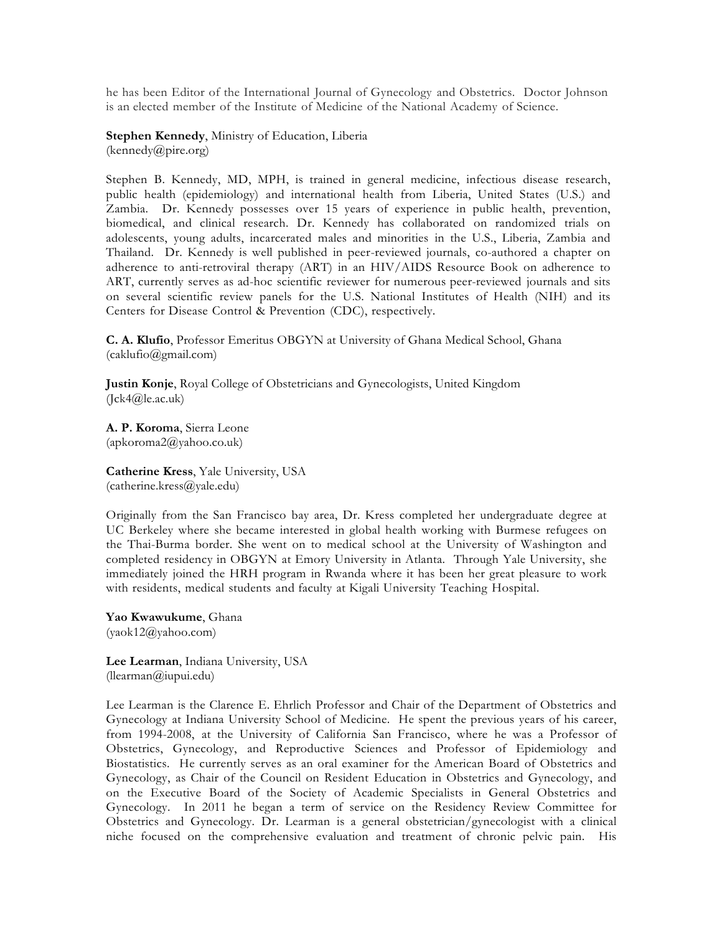he has been Editor of the International Journal of Gynecology and Obstetrics. Doctor Johnson is an elected member of the Institute of Medicine of the National Academy of Science.

**Stephen Kennedy**, Ministry of Education, Liberia  $(kennedy@price.org)$ 

Stephen B. Kennedy, MD, MPH, is trained in general medicine, infectious disease research, public health (epidemiology) and international health from Liberia, United States (U.S.) and Zambia. Dr. Kennedy possesses over 15 years of experience in public health, prevention, biomedical, and clinical research. Dr. Kennedy has collaborated on randomized trials on adolescents, young adults, incarcerated males and minorities in the U.S., Liberia, Zambia and Thailand. Dr. Kennedy is well published in peer-reviewed journals, co-authored a chapter on adherence to anti-retroviral therapy (ART) in an HIV/AIDS Resource Book on adherence to ART, currently serves as ad-hoc scientific reviewer for numerous peer-reviewed journals and sits on several scientific review panels for the U.S. National Institutes of Health (NIH) and its Centers for Disease Control & Prevention (CDC), respectively.

**C. A. Klufio**, Professor Emeritus OBGYN at University of Ghana Medical School, Ghana (caklufio@gmail.com)

**Justin Konje**, Royal College of Obstetricians and Gynecologists, United Kingdom  $(Ick4@]$ e.ac.uk)

**A. P. Koroma**, Sierra Leone (apkoroma2@yahoo.co.uk)

**Catherine Kress**, Yale University, USA (catherine.kress@yale.edu)

Originally from the San Francisco bay area, Dr. Kress completed her undergraduate degree at UC Berkeley where she became interested in global health working with Burmese refugees on the Thai-Burma border. She went on to medical school at the University of Washington and completed residency in OBGYN at Emory University in Atlanta. Through Yale University, she immediately joined the HRH program in Rwanda where it has been her great pleasure to work with residents, medical students and faculty at Kigali University Teaching Hospital.

**Yao Kwawukume**, Ghana (yaok12@yahoo.com)

**Lee Learman**, Indiana University, USA (llearman@iupui.edu)

Lee Learman is the Clarence E. Ehrlich Professor and Chair of the Department of Obstetrics and Gynecology at Indiana University School of Medicine. He spent the previous years of his career, from 1994-2008, at the University of California San Francisco, where he was a Professor of Obstetrics, Gynecology, and Reproductive Sciences and Professor of Epidemiology and Biostatistics. He currently serves as an oral examiner for the American Board of Obstetrics and Gynecology, as Chair of the Council on Resident Education in Obstetrics and Gynecology, and on the Executive Board of the Society of Academic Specialists in General Obstetrics and Gynecology. In 2011 he began a term of service on the Residency Review Committee for Obstetrics and Gynecology. Dr. Learman is a general obstetrician/gynecologist with a clinical niche focused on the comprehensive evaluation and treatment of chronic pelvic pain. His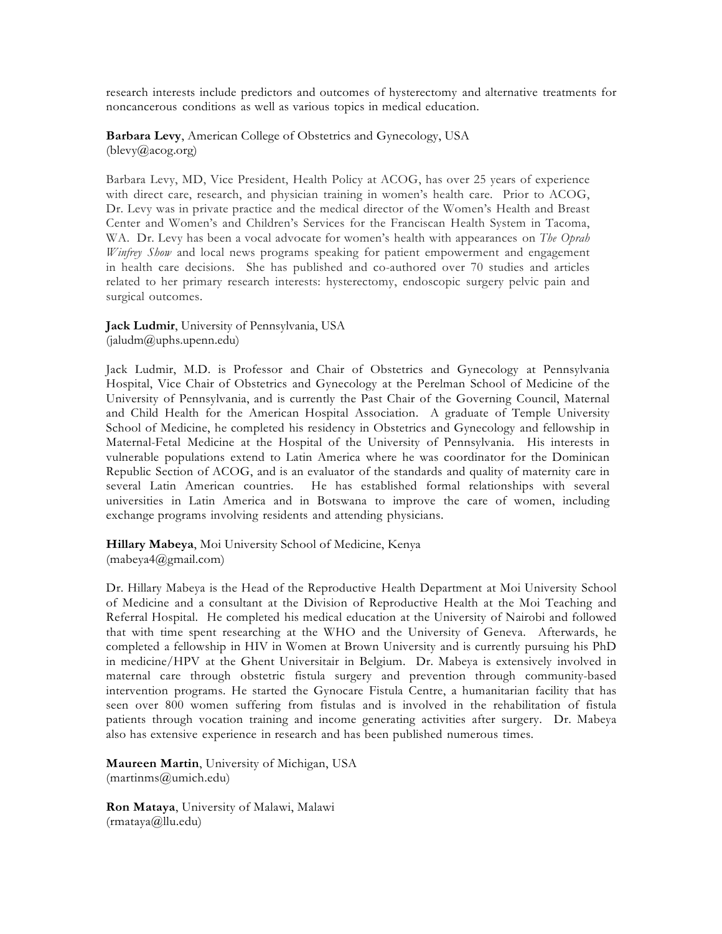research interests include predictors and outcomes of hysterectomy and alternative treatments for noncancerous conditions as well as various topics in medical education.

**Barbara Levy**, American College of Obstetrics and Gynecology, USA (blevy@acog.org)

Barbara Levy, MD, Vice President, Health Policy at ACOG, has over 25 years of experience with direct care, research, and physician training in women's health care. Prior to ACOG, Dr. Levy was in private practice and the medical director of the Women's Health and Breast Center and Women's and Children's Services for the Franciscan Health System in Tacoma, WA. Dr. Levy has been a vocal advocate for women's health with appearances on *The Oprah Winfrey Show* and local news programs speaking for patient empowerment and engagement in health care decisions. She has published and co-authored over 70 studies and articles related to her primary research interests: hysterectomy, endoscopic surgery pelvic pain and surgical outcomes.

**Jack Ludmir**, University of Pennsylvania, USA  $(i\text{aludm@uphs.upenn.edu})$ 

Jack Ludmir, M.D. is Professor and Chair of Obstetrics and Gynecology at Pennsylvania Hospital, Vice Chair of Obstetrics and Gynecology at the Perelman School of Medicine of the University of Pennsylvania, and is currently the Past Chair of the Governing Council, Maternal and Child Health for the American Hospital Association. A graduate of Temple University School of Medicine, he completed his residency in Obstetrics and Gynecology and fellowship in Maternal-Fetal Medicine at the Hospital of the University of Pennsylvania. His interests in vulnerable populations extend to Latin America where he was coordinator for the Dominican Republic Section of ACOG, and is an evaluator of the standards and quality of maternity care in several Latin American countries. He has established formal relationships with several universities in Latin America and in Botswana to improve the care of women, including exchange programs involving residents and attending physicians.

**Hillary Mabeya**, Moi University School of Medicine, Kenya (mabeya4@gmail.com)

Dr. Hillary Mabeya is the Head of the Reproductive Health Department at Moi University School of Medicine and a consultant at the Division of Reproductive Health at the Moi Teaching and Referral Hospital. He completed his medical education at the University of Nairobi and followed that with time spent researching at the WHO and the University of Geneva. Afterwards, he completed a fellowship in HIV in Women at Brown University and is currently pursuing his PhD in medicine/HPV at the Ghent Universitair in Belgium. Dr. Mabeya is extensively involved in maternal care through obstetric fistula surgery and prevention through community-based intervention programs. He started the Gynocare Fistula Centre, a humanitarian facility that has seen over 800 women suffering from fistulas and is involved in the rehabilitation of fistula patients through vocation training and income generating activities after surgery. Dr. Mabeya also has extensive experience in research and has been published numerous times.

**Maureen Martin**, University of Michigan, USA (martinms@umich.edu)

**Ron Mataya**, University of Malawi, Malawi (rmataya@llu.edu)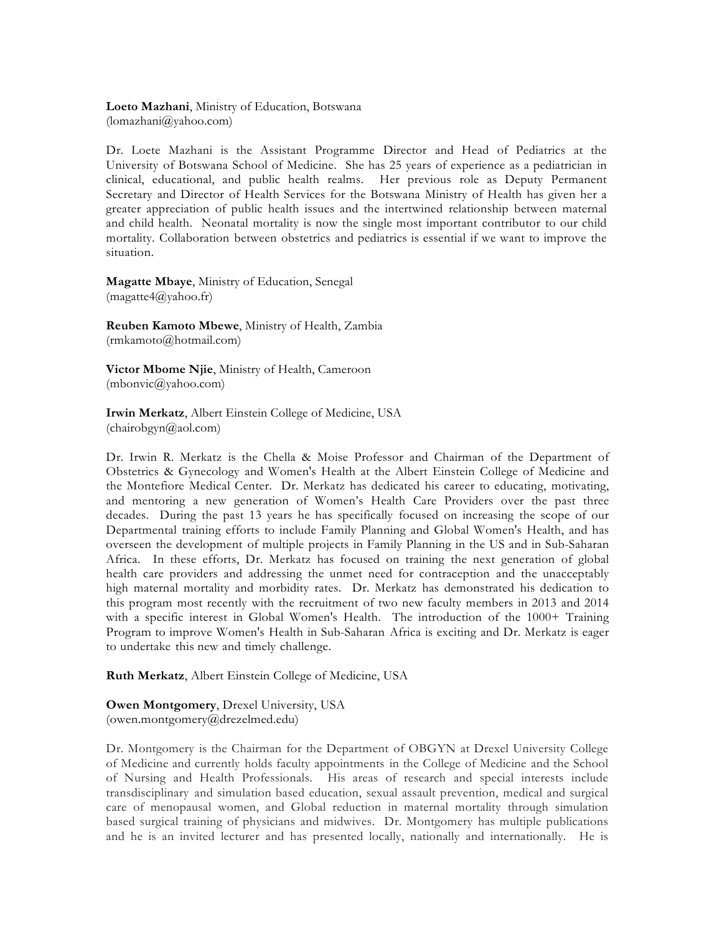**Loeto Mazhani**, Ministry of Education, Botswana (lomazhani@yahoo.com)

Dr. Loete Mazhani is the Assistant Programme Director and Head of Pediatrics at the University of Botswana School of Medicine. She has 25 years of experience as a pediatrician in clinical, educational, and public health realms. Her previous role as Deputy Permanent Secretary and Director of Health Services for the Botswana Ministry of Health has given her a greater appreciation of public health issues and the intertwined relationship between maternal and child health. Neonatal mortality is now the single most important contributor to our child mortality. Collaboration between obstetrics and pediatrics is essential if we want to improve the situation.

**Magatte Mbaye**, Ministry of Education, Senegal (magatte4@yahoo.fr)

**Reuben Kamoto Mbewe**, Ministry of Health, Zambia (rmkamoto@hotmail.com)

**Victor Mbome Njie**, Ministry of Health, Cameroon (mbonvic@yahoo.com)

**Irwin Merkatz**, Albert Einstein College of Medicine, USA (chairobgyn@aol.com)

Dr. Irwin R. Merkatz is the Chella & Moise Professor and Chairman of the Department of Obstetrics & Gynecology and Women's Health at the Albert Einstein College of Medicine and the Montefiore Medical Center. Dr. Merkatz has dedicated his career to educating, motivating, and mentoring a new generation of Women's Health Care Providers over the past three decades. During the past 13 years he has specifically focused on increasing the scope of our Departmental training efforts to include Family Planning and Global Women's Health, and has overseen the development of multiple projects in Family Planning in the US and in Sub-Saharan Africa. In these efforts, Dr. Merkatz has focused on training the next generation of global health care providers and addressing the unmet need for contraception and the unacceptably high maternal mortality and morbidity rates. Dr. Merkatz has demonstrated his dedication to this program most recently with the recruitment of two new faculty members in 2013 and 2014 with a specific interest in Global Women's Health. The introduction of the 1000+ Training Program to improve Women's Health in Sub-Saharan Africa is exciting and Dr. Merkatz is eager to undertake this new and timely challenge.

**Ruth Merkatz**, Albert Einstein College of Medicine, USA

**Owen Montgomery**, Drexel University, USA (owen.montgomery@drezelmed.edu)

Dr. Montgomery is the Chairman for the Department of OBGYN at Drexel University College of Medicine and currently holds faculty appointments in the College of Medicine and the School of Nursing and Health Professionals. His areas of research and special interests include transdisciplinary and simulation based education, sexual assault prevention, medical and surgical care of menopausal women, and Global reduction in maternal mortality through simulation based surgical training of physicians and midwives. Dr. Montgomery has multiple publications and he is an invited lecturer and has presented locally, nationally and internationally. He is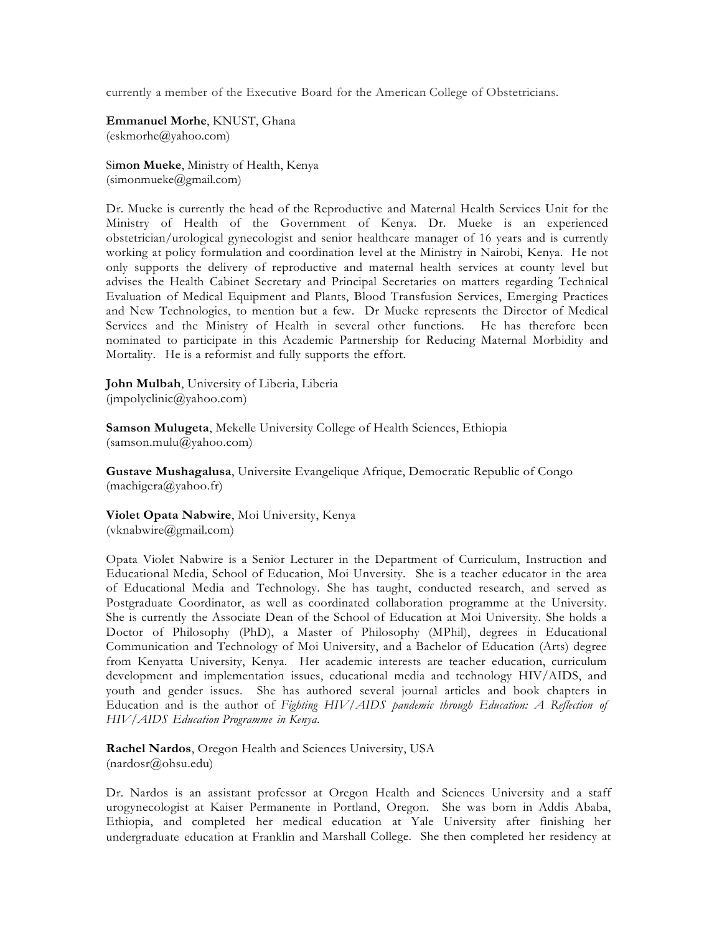currently a member of the Executive Board for the American College of Obstetricians.

**Emmanuel Morhe**, KNUST, Ghana (eskmorhe@yahoo.com)

Si**mon Mueke**, Ministry of Health, Kenya  $(simonmueke@gmail.com)$ 

Dr. Mueke is currently the head of the Reproductive and Maternal Health Services Unit for the Ministry of Health of the Government of Kenya. Dr. Mueke is an experienced obstetrician/urological gynecologist and senior healthcare manager of 16 years and is currently working at policy formulation and coordination level at the Ministry in Nairobi, Kenya. He not only supports the delivery of reproductive and maternal health services at county level but advises the Health Cabinet Secretary and Principal Secretaries on matters regarding Technical Evaluation of Medical Equipment and Plants, Blood Transfusion Services, Emerging Practices and New Technologies, to mention but a few. Dr Mueke represents the Director of Medical Services and the Ministry of Health in several other functions. He has therefore been nominated to participate in this Academic Partnership for Reducing Maternal Morbidity and Mortality. He is a reformist and fully supports the effort.

**John Mulbah**, University of Liberia, Liberia  $(\text{impolyclinic}(a)$ yahoo.com)

**Samson Mulugeta**, Mekelle University College of Health Sciences, Ethiopia (samson.mulu@yahoo.com)

**Gustave Mushagalusa**, Universite Evangelique Afrique, Democratic Republic of Congo (machigera@yahoo.fr)

**Violet Opata Nabwire**, Moi University, Kenya (vknabwire@gmail.com)

Opata Violet Nabwire is a Senior Lecturer in the Department of Curriculum, Instruction and Educational Media, School of Education, Moi Unversity. She is a teacher educator in the area of Educational Media and Technology. She has taught, conducted research, and served as Postgraduate Coordinator, as well as coordinated collaboration programme at the University. She is currently the Associate Dean of the School of Education at Moi University. She holds a Doctor of Philosophy (PhD), a Master of Philosophy (MPhil), degrees in Educational Communication and Technology of Moi University, and a Bachelor of Education (Arts) degree from Kenyatta University, Kenya. Her academic interests are teacher education, curriculum development and implementation issues, educational media and technology HIV/AIDS, and youth and gender issues. She has authored several journal articles and book chapters in Education and is the author of *Fighting HIV/AIDS pandemic through Education: A Reflection of HIV/AIDS Education Programme in Kenya*.

**Rachel Nardos**, Oregon Health and Sciences University, USA (nardosr@ohsu.edu)

Dr. Nardos is an assistant professor at Oregon Health and Sciences University and a staff urogynecologist at Kaiser Permanente in Portland, Oregon. She was born in Addis Ababa, Ethiopia, and completed her medical education at Yale University after finishing her undergraduate education at Franklin and Marshall College. She then completed her residency at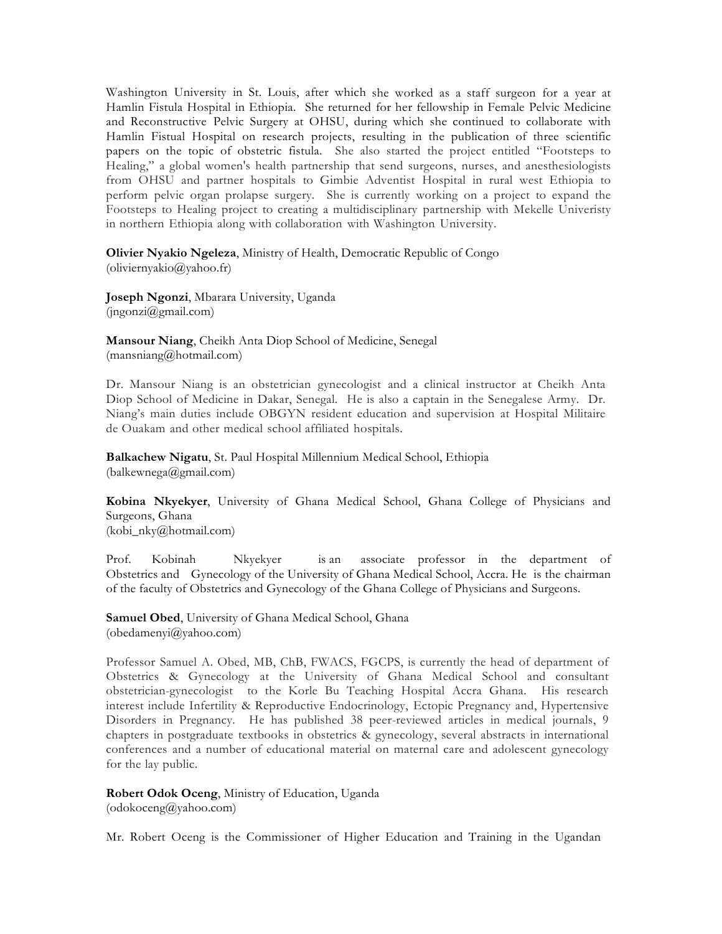Washington University in St. Louis, after which she worked as a staff surgeon for a year at Hamlin Fistula Hospital in Ethiopia. She returned for her fellowship in Female Pelvic Medicine and Reconstructive Pelvic Surgery at OHSU, during which she continued to collaborate with Hamlin Fistual Hospital on research projects, resulting in the publication of three scientific papers on the topic of obstetric fistula. She also started the project entitled "Footsteps to Healing," a global women's health partnership that send surgeons, nurses, and anesthesiologists from OHSU and partner hospitals to Gimbie Adventist Hospital in rural west Ethiopia to perform pelvic organ prolapse surgery. She is currently working on a project to expand the Footsteps to Healing project to creating a multidisciplinary partnership with Mekelle Univeristy in northern Ethiopia along with collaboration with Washington University.

**Olivier Nyakio Ngeleza**, Ministry of Health, Democratic Republic of Congo (oliviernyakio@yahoo.fr)

**Joseph Ngonzi**, Mbarara University, Uganda (jngonzi@gmail.com)

**Mansour Niang**, Cheikh Anta Diop School of Medicine, Senegal (mansniang@hotmail.com)

Dr. Mansour Niang is an obstetrician gynecologist and a clinical instructor at Cheikh Anta Diop School of Medicine in Dakar, Senegal. He is also a captain in the Senegalese Army. Dr. Niang's main duties include OBGYN resident education and supervision at Hospital Militaire de Ouakam and other medical school affiliated hospitals.

**Balkachew Nigatu**, St. Paul Hospital Millennium Medical School, Ethiopia (balkewnega@gmail.com)

**Kobina Nkyekyer**, University of Ghana Medical School, Ghana College of Physicians and Surgeons, Ghana (kobi\_nky@hotmail.com)

Prof. Kobinah Nkyekyer is an associate professor in the department of Obstetrics and Gynecology of the University of Ghana Medical School, Accra. He is the chairman of the faculty of Obstetrics and Gynecology of the Ghana College of Physicians and Surgeons.

**Samuel Obed**, University of Ghana Medical School, Ghana (obedamenyi@yahoo.com)

Professor Samuel A. Obed, MB, ChB, FWACS, FGCPS, is currently the head of department of Obstetrics & Gynecology at the University of Ghana Medical School and consultant obstetrician-gynecologist to the Korle Bu Teaching Hospital Accra Ghana. His research interest include Infertility & Reproductive Endocrinology, Ectopic Pregnancy and, Hypertensive Disorders in Pregnancy. He has published 38 peer-reviewed articles in medical journals, 9 chapters in postgraduate textbooks in obstetrics & gynecology, several abstracts in international conferences and a number of educational material on maternal care and adolescent gynecology for the lay public.

**Robert Odok Oceng**, Ministry of Education, Uganda

(odokoceng@yahoo.com)

Mr. Robert Oceng is the Commissioner of Higher Education and Training in the Ugandan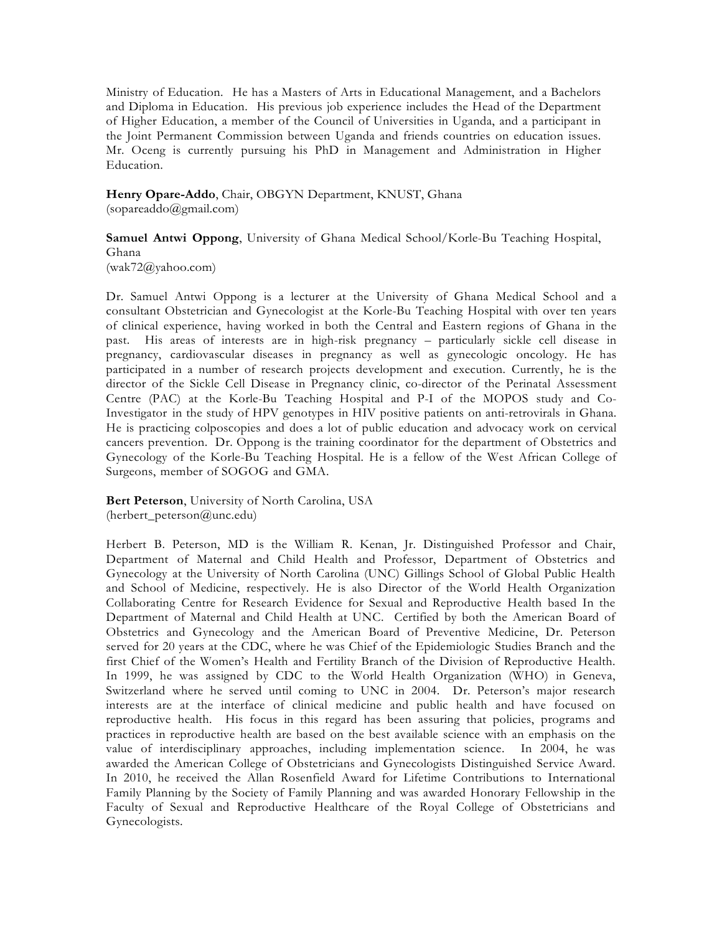Ministry of Education. He has a Masters of Arts in Educational Management, and a Bachelors and Diploma in Education. His previous job experience includes the Head of the Department of Higher Education, a member of the Council of Universities in Uganda, and a participant in the Joint Permanent Commission between Uganda and friends countries on education issues. Mr. Oceng is currently pursuing his PhD in Management and Administration in Higher Education.

**Henry Opare-Addo**, Chair, OBGYN Department, KNUST, Ghana (sopareaddo@gmail.com)

**Samuel Antwi Oppong**, University of Ghana Medical School/Korle-Bu Teaching Hospital, Ghana  $(wak72@yahoo.com)$ 

Dr. Samuel Antwi Oppong is a lecturer at the University of Ghana Medical School and a consultant Obstetrician and Gynecologist at the Korle-Bu Teaching Hospital with over ten years of clinical experience, having worked in both the Central and Eastern regions of Ghana in the past. His areas of interests are in high-risk pregnancy – particularly sickle cell disease in pregnancy, cardiovascular diseases in pregnancy as well as gynecologic oncology. He has participated in a number of research projects development and execution. Currently, he is the director of the Sickle Cell Disease in Pregnancy clinic, co-director of the Perinatal Assessment Centre (PAC) at the Korle-Bu Teaching Hospital and P-I of the MOPOS study and Co-Investigator in the study of HPV genotypes in HIV positive patients on anti-retrovirals in Ghana. He is practicing colposcopies and does a lot of public education and advocacy work on cervical cancers prevention. Dr. Oppong is the training coordinator for the department of Obstetrics and Gynecology of the Korle-Bu Teaching Hospital. He is a fellow of the West African College of Surgeons, member of SOGOG and GMA.

**Bert Peterson**, University of North Carolina, USA (herbert\_peterson@unc.edu)

Herbert B. Peterson, MD is the William R. Kenan, Jr. Distinguished Professor and Chair, Department of Maternal and Child Health and Professor, Department of Obstetrics and Gynecology at the University of North Carolina (UNC) Gillings School of Global Public Health and School of Medicine, respectively. He is also Director of the World Health Organization Collaborating Centre for Research Evidence for Sexual and Reproductive Health based In the Department of Maternal and Child Health at UNC. Certified by both the American Board of Obstetrics and Gynecology and the American Board of Preventive Medicine, Dr. Peterson served for 20 years at the CDC, where he was Chief of the Epidemiologic Studies Branch and the first Chief of the Women's Health and Fertility Branch of the Division of Reproductive Health. In 1999, he was assigned by CDC to the World Health Organization (WHO) in Geneva, Switzerland where he served until coming to UNC in 2004. Dr. Peterson's major research interests are at the interface of clinical medicine and public health and have focused on reproductive health. His focus in this regard has been assuring that policies, programs and practices in reproductive health are based on the best available science with an emphasis on the value of interdisciplinary approaches, including implementation science. In 2004, he was awarded the American College of Obstetricians and Gynecologists Distinguished Service Award. In 2010, he received the Allan Rosenfield Award for Lifetime Contributions to International Family Planning by the Society of Family Planning and was awarded Honorary Fellowship in the Faculty of Sexual and Reproductive Healthcare of the Royal College of Obstetricians and Gynecologists.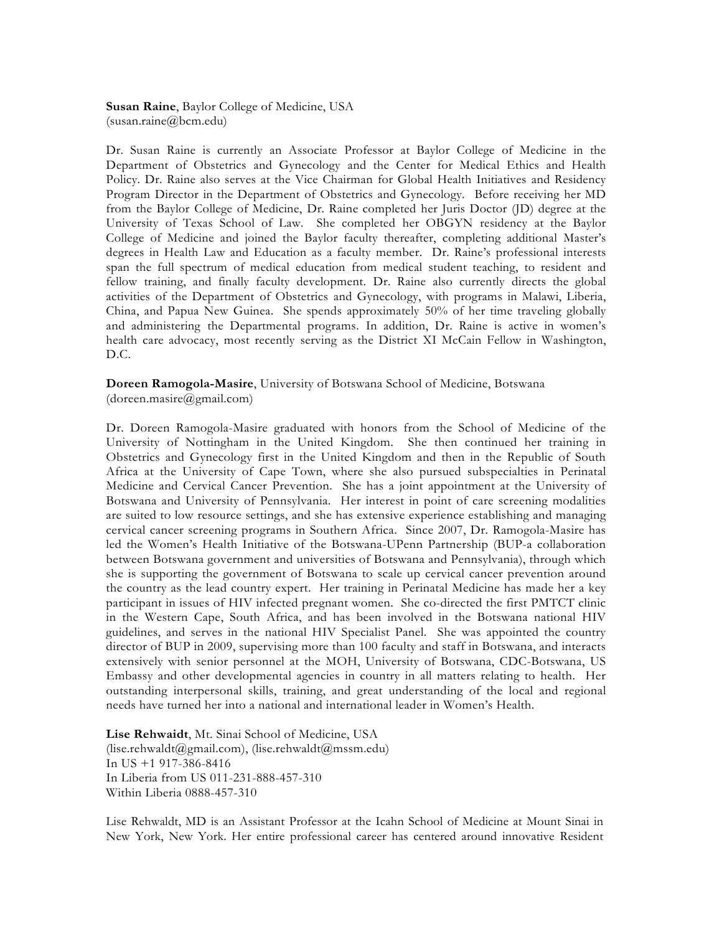**Susan Raine**, Baylor College of Medicine, USA (susan.raine@bcm.edu)

Dr. Susan Raine is currently an Associate Professor at Baylor College of Medicine in the Department of Obstetrics and Gynecology and the Center for Medical Ethics and Health Policy. Dr. Raine also serves at the Vice Chairman for Global Health Initiatives and Residency Program Director in the Department of Obstetrics and Gynecology. Before receiving her MD from the Baylor College of Medicine, Dr. Raine completed her Juris Doctor (JD) degree at the University of Texas School of Law. She completed her OBGYN residency at the Baylor College of Medicine and joined the Baylor faculty thereafter, completing additional Master's degrees in Health Law and Education as a faculty member. Dr. Raine's professional interests span the full spectrum of medical education from medical student teaching, to resident and fellow training, and finally faculty development. Dr. Raine also currently directs the global activities of the Department of Obstetrics and Gynecology, with programs in Malawi, Liberia, China, and Papua New Guinea. She spends approximately 50% of her time traveling globally and administering the Departmental programs. In addition, Dr. Raine is active in women's health care advocacy, most recently serving as the District XI McCain Fellow in Washington, D.C.

**Doreen Ramogola-Masire**, University of Botswana School of Medicine, Botswana (doreen.masire@gmail.com)

Dr. Doreen Ramogola-Masire graduated with honors from the School of Medicine of the University of Nottingham in the United Kingdom. She then continued her training in Obstetrics and Gynecology first in the United Kingdom and then in the Republic of South Africa at the University of Cape Town, where she also pursued subspecialties in Perinatal Medicine and Cervical Cancer Prevention. She has a joint appointment at the University of Botswana and University of Pennsylvania. Her interest in point of care screening modalities are suited to low resource settings, and she has extensive experience establishing and managing cervical cancer screening programs in Southern Africa. Since 2007, Dr. Ramogola-Masire has led the Women's Health Initiative of the Botswana-UPenn Partnership (BUP-a collaboration between Botswana government and universities of Botswana and Pennsylvania), through which she is supporting the government of Botswana to scale up cervical cancer prevention around the country as the lead country expert. Her training in Perinatal Medicine has made her a key participant in issues of HIV infected pregnant women. She co-directed the first PMTCT clinic in the Western Cape, South Africa, and has been involved in the Botswana national HIV guidelines, and serves in the national HIV Specialist Panel. She was appointed the country director of BUP in 2009, supervising more than 100 faculty and staff in Botswana, and interacts extensively with senior personnel at the MOH, University of Botswana, CDC-Botswana, US Embassy and other developmental agencies in country in all matters relating to health. Her outstanding interpersonal skills, training, and great understanding of the local and regional needs have turned her into a national and international leader in Women's Health.

**Lise Rehwaidt**, Mt. Sinai School of Medicine, USA (lise.rehwaldt@gmail.com), (lise.rehwaldt@mssm.edu) In US +1 917-386-8416 In Liberia from US 011-231-888-457-310 Within Liberia 0888-457-310

Lise Rehwaldt, MD is an Assistant Professor at the Icahn School of Medicine at Mount Sinai in New York, New York. Her entire professional career has centered around innovative Resident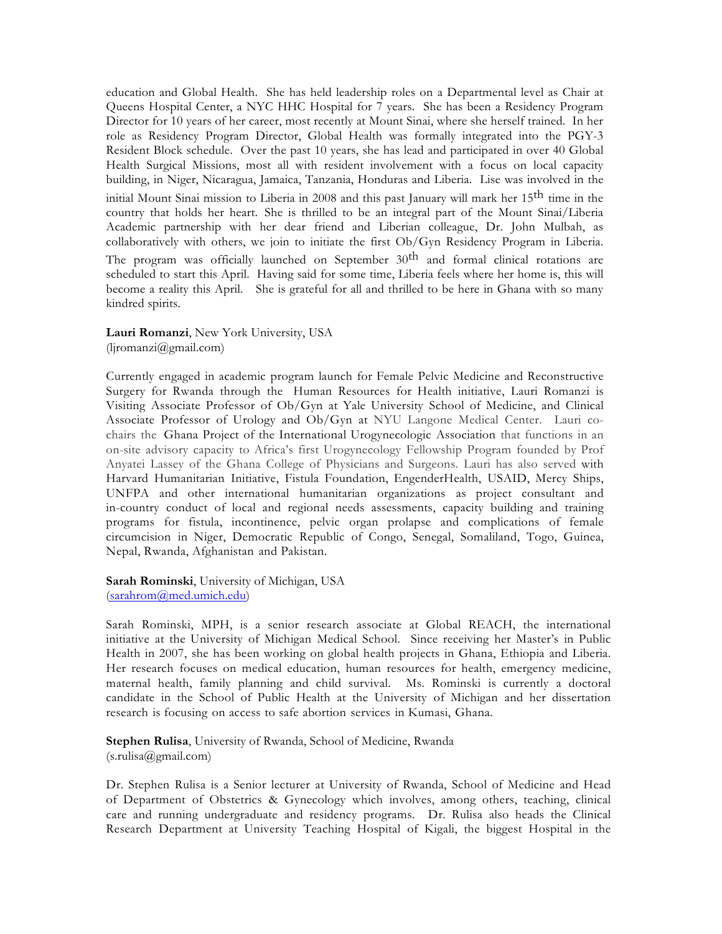education and Global Health. She has held leadership roles on a Departmental level as Chair at Queens Hospital Center, a NYC HHC Hospital for 7 years. She has been a Residency Program Director for 10 years of her career, most recently at Mount Sinai, where she herself trained. In her role as Residency Program Director, Global Health was formally integrated into the PGY-3 Resident Block schedule. Over the past 10 years, she has lead and participated in over 40 Global Health Surgical Missions, most all with resident involvement with a focus on local capacity building, in Niger, Nicaragua, Jamaica, Tanzania, Honduras and Liberia. Lise was involved in the initial Mount Sinai mission to Liberia in 2008 and this past January will mark her 15th time in the country that holds her heart. She is thrilled to be an integral part of the Mount Sinai/Liberia Academic partnership with her dear friend and Liberian colleague, Dr. John Mulbah, as collaboratively with others, we join to initiate the first Ob/Gyn Residency Program in Liberia. The program was officially launched on September  $30<sup>th</sup>$  and formal clinical rotations are scheduled to start this April. Having said for some time, Liberia feels where her home is, this will become a reality this April. She is grateful for all and thrilled to be here in Ghana with so many kindred spirits.

**Lauri Romanzi**, New York University, USA  $(lipomanzi@gmail.com)$ 

Currently engaged in academic program launch for Female Pelvic Medicine and Reconstructive Surgery for Rwanda through the Human Resources for Health initiative, Lauri Romanzi is Visiting Associate Professor of Ob/Gyn at Yale University School of Medicine, and Clinical Associate Professor of Urology and Ob/Gyn at NYU Langone Medical Center. Lauri cochairs the Ghana Project of the International Urogynecologic Association that functions in an on-site advisory capacity to Africa's first Urogynecology Fellowship Program founded by Prof Anyatei Lassey of the Ghana College of Physicians and Surgeons. Lauri has also served with Harvard Humanitarian Initiative, Fistula Foundation, EngenderHealth, USAID, Mercy Ships, UNFPA and other international humanitarian organizations as project consultant and in-country conduct of local and regional needs assessments, capacity building and training programs for fistula, incontinence, pelvic organ prolapse and complications of female circumcision in Niger, Democratic Republic of Congo, Senegal, Somaliland, Togo, Guinea, Nepal, Rwanda, Afghanistan and Pakistan.

**Sarah Rominski**, University of Michigan, USA (sarahrom@med.umich.edu)

Sarah Rominski, MPH, is a senior research associate at Global REACH, the international initiative at the University of Michigan Medical School. Since receiving her Master's in Public Health in 2007, she has been working on global health projects in Ghana, Ethiopia and Liberia. Her research focuses on medical education, human resources for health, emergency medicine, maternal health, family planning and child survival. Ms. Rominski is currently a doctoral candidate in the School of Public Health at the University of Michigan and her dissertation research is focusing on access to safe abortion services in Kumasi, Ghana.

**Stephen Rulisa**, University of Rwanda, School of Medicine, Rwanda (s.rulisa@gmail.com)

Dr. Stephen Rulisa is a Senior lecturer at University of Rwanda, School of Medicine and Head of Department of Obstetrics & Gynecology which involves, among others, teaching, clinical care and running undergraduate and residency programs. Dr. Rulisa also heads the Clinical Research Department at University Teaching Hospital of Kigali, the biggest Hospital in the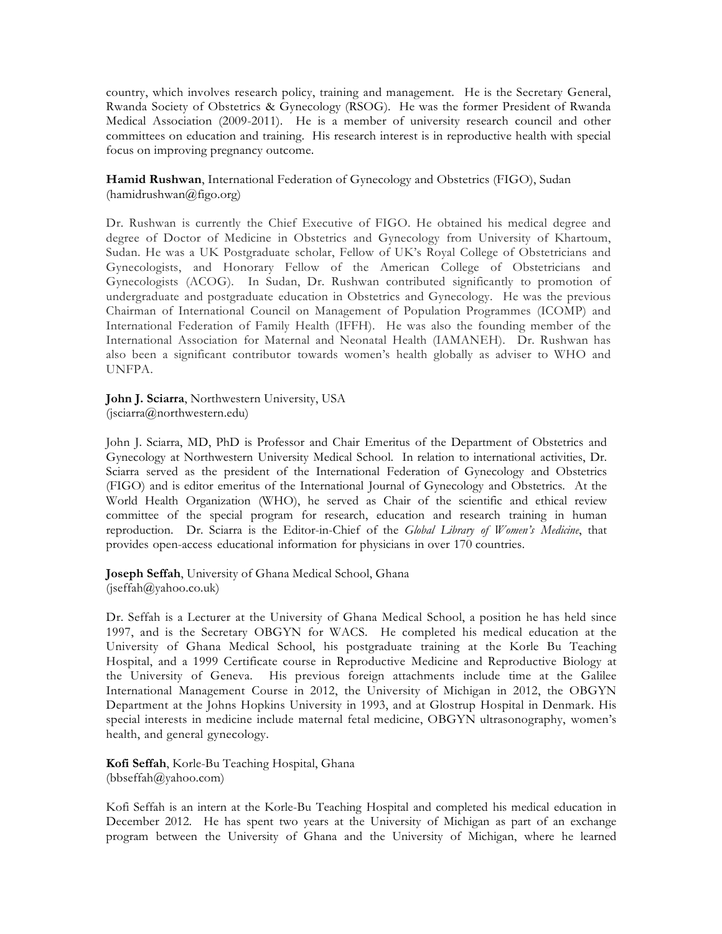country, which involves research policy, training and management. He is the Secretary General, Rwanda Society of Obstetrics & Gynecology (RSOG). He was the former President of Rwanda Medical Association (2009-2011). He is a member of university research council and other committees on education and training. His research interest is in reproductive health with special focus on improving pregnancy outcome.

**Hamid Rushwan**, International Federation of Gynecology and Obstetrics (FIGO), Sudan (hamidrushwan@figo.org)

Dr. Rushwan is currently the Chief Executive of FIGO. He obtained his medical degree and degree of Doctor of Medicine in Obstetrics and Gynecology from University of Khartoum, Sudan. He was a UK Postgraduate scholar, Fellow of UK's Royal College of Obstetricians and Gynecologists, and Honorary Fellow of the American College of Obstetricians and Gynecologists (ACOG). In Sudan, Dr. Rushwan contributed significantly to promotion of undergraduate and postgraduate education in Obstetrics and Gynecology. He was the previous Chairman of International Council on Management of Population Programmes (ICOMP) and International Federation of Family Health (IFFH). He was also the founding member of the International Association for Maternal and Neonatal Health (IAMANEH). Dr. Rushwan has also been a significant contributor towards women's health globally as adviser to WHO and UNFPA.

**John J. Sciarra**, Northwestern University, USA (jsciarra@northwestern.edu)

John J. Sciarra, MD, PhD is Professor and Chair Emeritus of the Department of Obstetrics and Gynecology at Northwestern University Medical School. In relation to international activities, Dr. Sciarra served as the president of the International Federation of Gynecology and Obstetrics (FIGO) and is editor emeritus of the International Journal of Gynecology and Obstetrics. At the World Health Organization (WHO), he served as Chair of the scientific and ethical review committee of the special program for research, education and research training in human reproduction. Dr. Sciarra is the Editor-in-Chief of the *Global Library of Women's Medicine*, that provides open-access educational information for physicians in over 170 countries.

**Joseph Seffah**, University of Ghana Medical School, Ghana  $($ jseffah $@$ yahoo.co.uk)

Dr. Seffah is a Lecturer at the University of Ghana Medical School, a position he has held since 1997, and is the Secretary OBGYN for WACS. He completed his medical education at the University of Ghana Medical School, his postgraduate training at the Korle Bu Teaching Hospital, and a 1999 Certificate course in Reproductive Medicine and Reproductive Biology at the University of Geneva. His previous foreign attachments include time at the Galilee International Management Course in 2012, the University of Michigan in 2012, the OBGYN Department at the Johns Hopkins University in 1993, and at Glostrup Hospital in Denmark. His special interests in medicine include maternal fetal medicine, OBGYN ultrasonography, women's health, and general gynecology.

**Kofi Seffah**, Korle-Bu Teaching Hospital, Ghana (bbseffah@yahoo.com)

Kofi Seffah is an intern at the Korle-Bu Teaching Hospital and completed his medical education in December 2012. He has spent two years at the University of Michigan as part of an exchange program between the University of Ghana and the University of Michigan, where he learned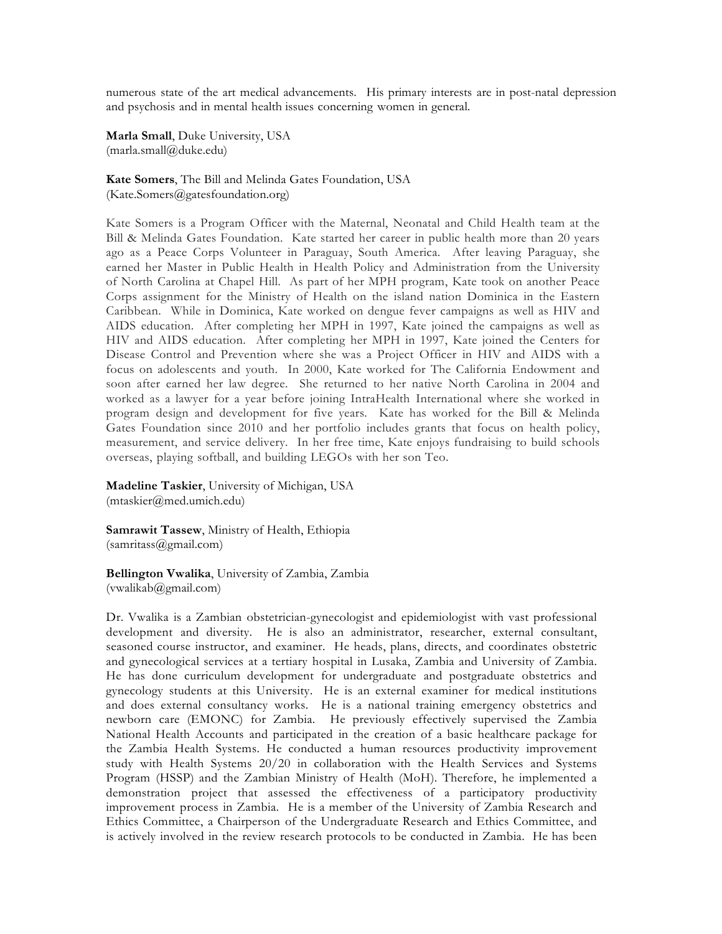numerous state of the art medical advancements. His primary interests are in post-natal depression and psychosis and in mental health issues concerning women in general.

**Marla Small**, Duke University, USA  $(maxla.small@duke.edu)$ 

**Kate Somers**, The Bill and Melinda Gates Foundation, USA (Kate.Somers@gatesfoundation.org)

Kate Somers is a Program Officer with the Maternal, Neonatal and Child Health team at the Bill & Melinda Gates Foundation. Kate started her career in public health more than 20 years ago as a Peace Corps Volunteer in Paraguay, South America. After leaving Paraguay, she earned her Master in Public Health in Health Policy and Administration from the University of North Carolina at Chapel Hill. As part of her MPH program, Kate took on another Peace Corps assignment for the Ministry of Health on the island nation Dominica in the Eastern Caribbean. While in Dominica, Kate worked on dengue fever campaigns as well as HIV and AIDS education. After completing her MPH in 1997, Kate joined the campaigns as well as HIV and AIDS education. After completing her MPH in 1997, Kate joined the Centers for Disease Control and Prevention where she was a Project Officer in HIV and AIDS with a focus on adolescents and youth. In 2000, Kate worked for The California Endowment and soon after earned her law degree. She returned to her native North Carolina in 2004 and worked as a lawyer for a year before joining IntraHealth International where she worked in program design and development for five years. Kate has worked for the Bill & Melinda Gates Foundation since 2010 and her portfolio includes grants that focus on health policy, measurement, and service delivery. In her free time, Kate enjoys fundraising to build schools overseas, playing softball, and building LEGOs with her son Teo.

**Madeline Taskier**, University of Michigan, USA (mtaskier@med.umich.edu)

**Samrawit Tassew**, Ministry of Health, Ethiopia (samritass@gmail.com)

**Bellington Vwalika**, University of Zambia, Zambia (vwalikab@gmail.com)

Dr. Vwalika is a Zambian obstetrician-gynecologist and epidemiologist with vast professional development and diversity. He is also an administrator, researcher, external consultant, seasoned course instructor, and examiner. He heads, plans, directs, and coordinates obstetric and gynecological services at a tertiary hospital in Lusaka, Zambia and University of Zambia. He has done curriculum development for undergraduate and postgraduate obstetrics and gynecology students at this University. He is an external examiner for medical institutions and does external consultancy works. He is a national training emergency obstetrics and newborn care (EMONC) for Zambia. He previously effectively supervised the Zambia National Health Accounts and participated in the creation of a basic healthcare package for the Zambia Health Systems. He conducted a human resources productivity improvement study with Health Systems 20/20 in collaboration with the Health Services and Systems Program (HSSP) and the Zambian Ministry of Health (MoH). Therefore, he implemented a demonstration project that assessed the effectiveness of a participatory productivity improvement process in Zambia. He is a member of the University of Zambia Research and Ethics Committee, a Chairperson of the Undergraduate Research and Ethics Committee, and is actively involved in the review research protocols to be conducted in Zambia. He has been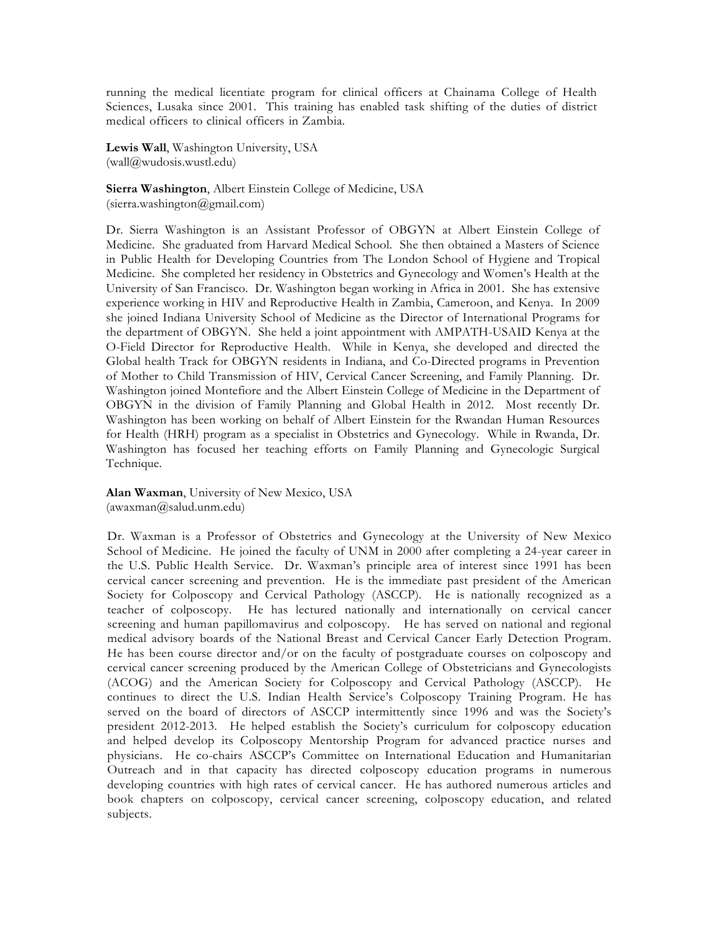running the medical licentiate program for clinical officers at Chainama College of Health Sciences, Lusaka since 2001. This training has enabled task shifting of the duties of district medical officers to clinical officers in Zambia.

**Lewis Wall**, Washington University, USA (wall@wudosis.wustl.edu)

**Sierra Washington**, Albert Einstein College of Medicine, USA  $(sierra.washington@gmail.com)$ 

Dr. Sierra Washington is an Assistant Professor of OBGYN at Albert Einstein College of Medicine. She graduated from Harvard Medical School. She then obtained a Masters of Science in Public Health for Developing Countries from The London School of Hygiene and Tropical Medicine. She completed her residency in Obstetrics and Gynecology and Women's Health at the University of San Francisco. Dr. Washington began working in Africa in 2001. She has extensive experience working in HIV and Reproductive Health in Zambia, Cameroon, and Kenya. In 2009 she joined Indiana University School of Medicine as the Director of International Programs for the department of OBGYN. She held a joint appointment with AMPATH-USAID Kenya at the O-Field Director for Reproductive Health. While in Kenya, she developed and directed the Global health Track for OBGYN residents in Indiana, and Co-Directed programs in Prevention of Mother to Child Transmission of HIV, Cervical Cancer Screening, and Family Planning. Dr. Washington joined Montefiore and the Albert Einstein College of Medicine in the Department of OBGYN in the division of Family Planning and Global Health in 2012. Most recently Dr. Washington has been working on behalf of Albert Einstein for the Rwandan Human Resources for Health (HRH) program as a specialist in Obstetrics and Gynecology. While in Rwanda, Dr. Washington has focused her teaching efforts on Family Planning and Gynecologic Surgical Technique.

**Alan Waxman**, University of New Mexico, USA (awaxman@salud.unm.edu)

Dr. Waxman is a Professor of Obstetrics and Gynecology at the University of New Mexico School of Medicine. He joined the faculty of UNM in 2000 after completing a 24-year career in the U.S. Public Health Service. Dr. Waxman's principle area of interest since 1991 has been cervical cancer screening and prevention. He is the immediate past president of the American Society for Colposcopy and Cervical Pathology (ASCCP). He is nationally recognized as a teacher of colposcopy. He has lectured nationally and internationally on cervical cancer screening and human papillomavirus and colposcopy. He has served on national and regional medical advisory boards of the National Breast and Cervical Cancer Early Detection Program. He has been course director and/or on the faculty of postgraduate courses on colposcopy and cervical cancer screening produced by the American College of Obstetricians and Gynecologists (ACOG) and the American Society for Colposcopy and Cervical Pathology (ASCCP). He continues to direct the U.S. Indian Health Service's Colposcopy Training Program. He has served on the board of directors of ASCCP intermittently since 1996 and was the Society's president 2012-2013. He helped establish the Society's curriculum for colposcopy education and helped develop its Colposcopy Mentorship Program for advanced practice nurses and physicians. He co-chairs ASCCP's Committee on International Education and Humanitarian Outreach and in that capacity has directed colposcopy education programs in numerous developing countries with high rates of cervical cancer. He has authored numerous articles and book chapters on colposcopy, cervical cancer screening, colposcopy education, and related subjects.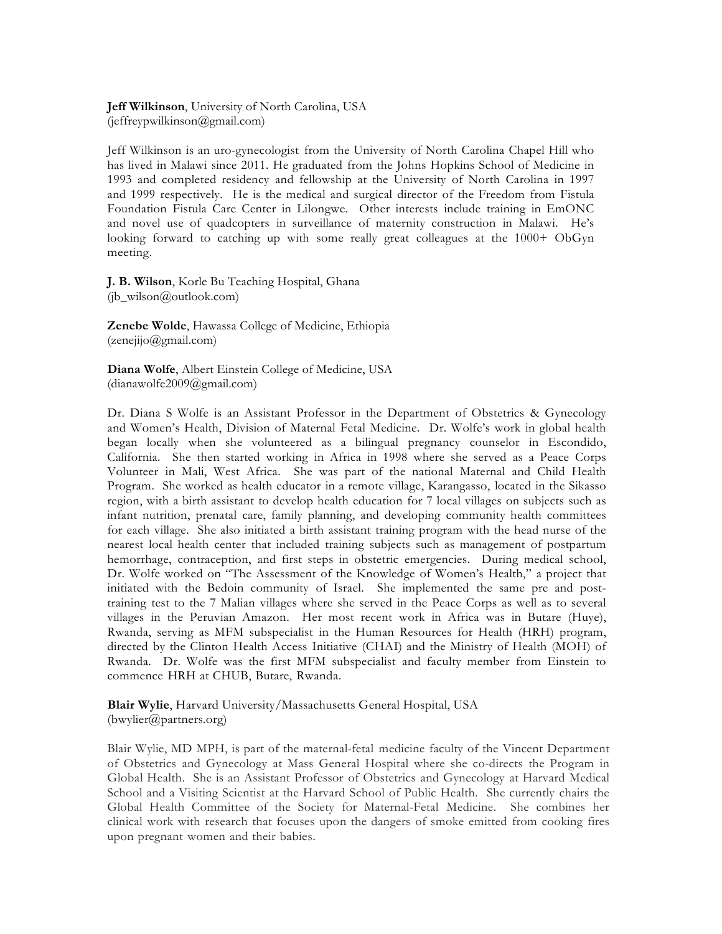**Jeff Wilkinson**, University of North Carolina, USA (jeffreypwilkinson@gmail.com)

Jeff Wilkinson is an uro-gynecologist from the University of North Carolina Chapel Hill who has lived in Malawi since 2011. He graduated from the Johns Hopkins School of Medicine in 1993 and completed residency and fellowship at the University of North Carolina in 1997 and 1999 respectively. He is the medical and surgical director of the Freedom from Fistula Foundation Fistula Care Center in Lilongwe. Other interests include training in EmONC and novel use of quadcopters in surveillance of maternity construction in Malawi. He's looking forward to catching up with some really great colleagues at the 1000+ ObGyn meeting.

**J. B. Wilson**, Korle Bu Teaching Hospital, Ghana (jb\_wilson@outlook.com)

**Zenebe Wolde**, Hawassa College of Medicine, Ethiopia (zenejijo@gmail.com)

**Diana Wolfe**, Albert Einstein College of Medicine, USA (dianawolfe2009@gmail.com)

Dr. Diana S Wolfe is an Assistant Professor in the Department of Obstetrics & Gynecology and Women's Health, Division of Maternal Fetal Medicine. Dr. Wolfe's work in global health began locally when she volunteered as a bilingual pregnancy counselor in Escondido, California. She then started working in Africa in 1998 where she served as a Peace Corps Volunteer in Mali, West Africa. She was part of the national Maternal and Child Health Program. She worked as health educator in a remote village, Karangasso, located in the Sikasso region, with a birth assistant to develop health education for 7 local villages on subjects such as infant nutrition, prenatal care, family planning, and developing community health committees for each village. She also initiated a birth assistant training program with the head nurse of the nearest local health center that included training subjects such as management of postpartum hemorrhage, contraception, and first steps in obstetric emergencies. During medical school, Dr. Wolfe worked on "The Assessment of the Knowledge of Women's Health," a project that initiated with the Bedoin community of Israel. She implemented the same pre and posttraining test to the 7 Malian villages where she served in the Peace Corps as well as to several villages in the Peruvian Amazon. Her most recent work in Africa was in Butare (Huye), Rwanda, serving as MFM subspecialist in the Human Resources for Health (HRH) program, directed by the Clinton Health Access Initiative (CHAI) and the Ministry of Health (MOH) of Rwanda. Dr. Wolfe was the first MFM subspecialist and faculty member from Einstein to commence HRH at CHUB, Butare, Rwanda.

**Blair Wylie**, Harvard University/Massachusetts General Hospital, USA (bwylier@partners.org)

Blair Wylie, MD MPH, is part of the maternal-fetal medicine faculty of the Vincent Department of Obstetrics and Gynecology at Mass General Hospital where she co-directs the Program in Global Health. She is an Assistant Professor of Obstetrics and Gynecology at Harvard Medical School and a Visiting Scientist at the Harvard School of Public Health. She currently chairs the Global Health Committee of the Society for Maternal-Fetal Medicine. She combines her clinical work with research that focuses upon the dangers of smoke emitted from cooking fires upon pregnant women and their babies.